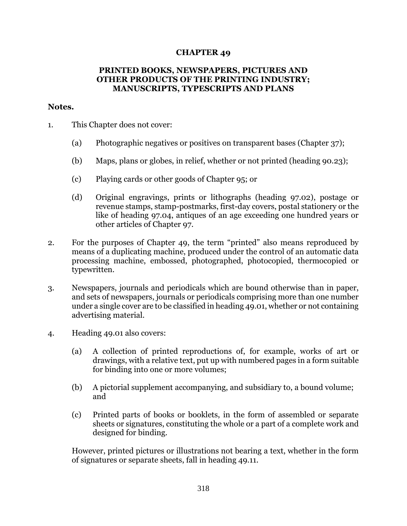## **CHAPTER 49**

## **PRINTED BOOKS, NEWSPAPERS, PICTURES AND OTHER PRODUCTS OF THE PRINTING INDUSTRY; MANUSCRIPTS, TYPESCRIPTS AND PLANS**

## **Notes.**

- 1. This Chapter does not cover:
	- (a) Photographic negatives or positives on transparent bases (Chapter 37);
	- (b) Maps, plans or globes, in relief, whether or not printed (heading 90.23);
	- (c) Playing cards or other goods of Chapter 95; or
	- (d) Original engravings, prints or lithographs (heading 97.02), postage or revenue stamps, stamp-postmarks, first-day covers, postal stationery or the like of heading 97.04, antiques of an age exceeding one hundred years or other articles of Chapter 97.
- 2. For the purposes of Chapter 49, the term "printed" also means reproduced by means of a duplicating machine, produced under the control of an automatic data processing machine, embossed, photographed, photocopied, thermocopied or typewritten.
- 3. Newspapers, journals and periodicals which are bound otherwise than in paper, and sets of newspapers, journals or periodicals comprising more than one number under a single cover are to be classified in heading 49.01, whether or not containing advertising material.
- 4. Heading 49.01 also covers:
	- (a) A collection of printed reproductions of, for example, works of art or drawings, with a relative text, put up with numbered pages in a form suitable for binding into one or more volumes;
	- (b) A pictorial supplement accompanying, and subsidiary to, a bound volume; and
	- (c) Printed parts of books or booklets, in the form of assembled or separate sheets or signatures, constituting the whole or a part of a complete work and designed for binding.

However, printed pictures or illustrations not bearing a text, whether in the form of signatures or separate sheets, fall in heading 49.11.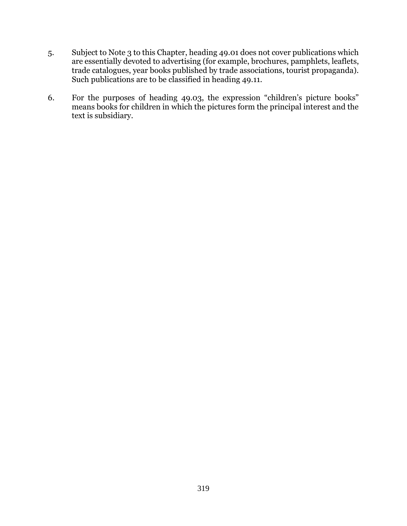- 5. Subject to Note 3 to this Chapter, heading 49.01 does not cover publications which are essentially devoted to advertising (for example, brochures, pamphlets, leaflets, trade catalogues, year books published by trade associations, tourist propaganda). Such publications are to be classified in heading 49.11.
- 6. For the purposes of heading 49.03, the expression "children's picture books" means books for children in which the pictures form the principal interest and the text is subsidiary.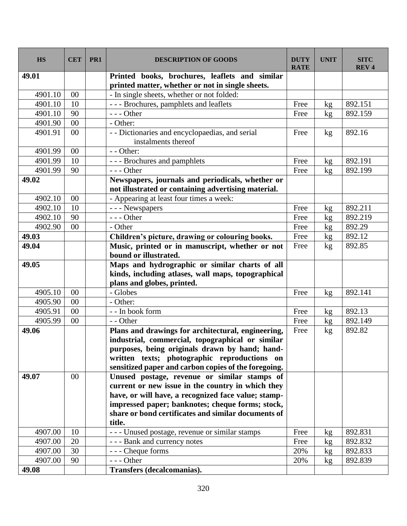| <b>HS</b> | <b>CET</b> | PR <sub>1</sub> | <b>DESCRIPTION OF GOODS</b>                          | <b>DUTY</b><br><b>RATE</b> | <b>UNIT</b> | <b>SITC</b><br><b>REV4</b> |
|-----------|------------|-----------------|------------------------------------------------------|----------------------------|-------------|----------------------------|
| 49.01     |            |                 | Printed books, brochures, leaflets and similar       |                            |             |                            |
|           |            |                 | printed matter, whether or not in single sheets.     |                            |             |                            |
| 4901.10   | 00         |                 | - In single sheets, whether or not folded:           |                            |             |                            |
| 4901.10   | 10         |                 | --- Brochures, pamphlets and leaflets                | Free                       | kg          | 892.151                    |
| 4901.10   | 90         |                 | $--$ Other                                           | Free                       | kg          | 892.159                    |
| 4901.90   | 00         |                 | - Other:                                             |                            |             |                            |
| 4901.91   | 00         |                 | - - Dictionaries and encyclopaedias, and serial      | Free                       | kg          | 892.16                     |
|           |            |                 | instalments thereof                                  |                            |             |                            |
| 4901.99   | 00         |                 | - - Other:                                           |                            |             |                            |
| 4901.99   | 10         |                 | --- Brochures and pamphlets                          | Free                       | kg          | 892.191                    |
| 4901.99   | 90         |                 | $--$ Other                                           | Free                       | kg          | 892.199                    |
| 49.02     |            |                 | Newspapers, journals and periodicals, whether or     |                            |             |                            |
|           |            |                 | not illustrated or containing advertising material.  |                            |             |                            |
| 4902.10   | 00         |                 | - Appearing at least four times a week:              |                            |             |                            |
| 4902.10   | 10         |                 | - - - Newspapers                                     | Free                       | kg          | 892.211                    |
| 4902.10   | 90         |                 | $--$ Other                                           | Free                       | kg          | 892.219                    |
| 4902.90   | 00         |                 | - Other                                              | Free                       | kg          | 892.29                     |
| 49.03     |            |                 | Children's picture, drawing or colouring books.      | Free                       | kg          | 892.12                     |
| 49.04     |            |                 | Music, printed or in manuscript, whether or not      | Free                       | kg          | 892.85                     |
|           |            |                 | bound or illustrated.                                |                            |             |                            |
| 49.05     |            |                 | Maps and hydrographic or similar charts of all       |                            |             |                            |
|           |            |                 | kinds, including atlases, wall maps, topographical   |                            |             |                            |
|           |            |                 | plans and globes, printed.                           |                            |             |                            |
| 4905.10   | $00\,$     |                 | - Globes                                             | Free                       | kg          | 892.141                    |
| 4905.90   | 00         |                 | - Other:                                             |                            |             |                            |
| 4905.91   | 00         |                 | - - In book form                                     | Free                       | kg          | 892.13                     |
| 4905.99   | 00         |                 | - - Other                                            | Free                       | kg          | 892.149                    |
| 49.06     |            |                 | Plans and drawings for architectural, engineering,   | Free                       | kg          | 892.82                     |
|           |            |                 | industrial, commercial, topographical or similar     |                            |             |                            |
|           |            |                 | purposes, being originals drawn by hand; hand-       |                            |             |                            |
|           |            |                 | written texts; photographic reproductions on         |                            |             |                            |
|           |            |                 | sensitized paper and carbon copies of the foregoing. |                            |             |                            |
| 49.07     | 00         |                 | Unused postage, revenue or similar stamps of         |                            |             |                            |
|           |            |                 | current or new issue in the country in which they    |                            |             |                            |
|           |            |                 | have, or will have, a recognized face value; stamp-  |                            |             |                            |
|           |            |                 | impressed paper; banknotes; cheque forms; stock,     |                            |             |                            |
|           |            |                 | share or bond certificates and similar documents of  |                            |             |                            |
|           |            |                 | title.                                               |                            |             |                            |
| 4907.00   | 10         |                 | - - - Unused postage, revenue or similar stamps      | Free                       | kg          | 892.831                    |
| 4907.00   | 20         |                 | - - - Bank and currency notes                        | Free                       | kg          | 892.832                    |
| 4907.00   | 30         |                 | - - - Cheque forms                                   | 20%                        | kg          | 892.833                    |
| 4907.00   | 90         |                 | $--$ Other                                           | 20%                        | kg          | 892.839                    |
| 49.08     |            |                 | <b>Transfers (decalcomanias).</b>                    |                            |             |                            |